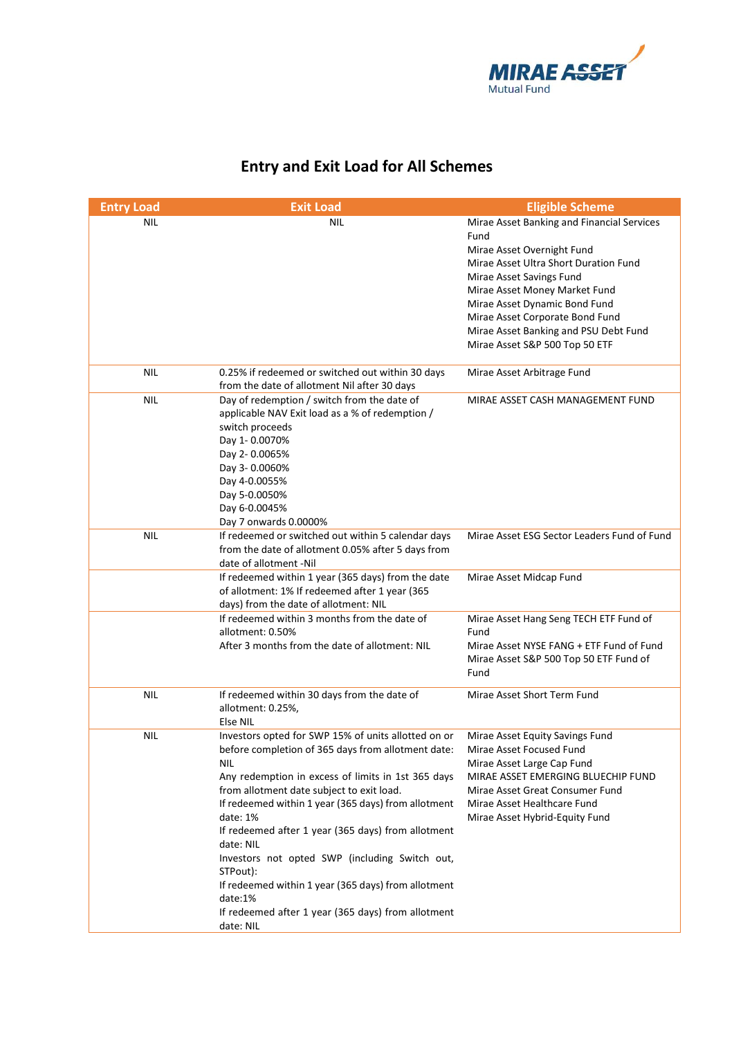

## **Entry and Exit Load for All Schemes**

| <b>Entry Load</b> | <b>Exit Load</b>                                          | <b>Eligible Scheme</b>                                                  |
|-------------------|-----------------------------------------------------------|-------------------------------------------------------------------------|
| NIL               | NIL                                                       | Mirae Asset Banking and Financial Services                              |
|                   |                                                           | Fund                                                                    |
|                   |                                                           | Mirae Asset Overnight Fund                                              |
|                   |                                                           | Mirae Asset Ultra Short Duration Fund                                   |
|                   |                                                           | Mirae Asset Savings Fund                                                |
|                   |                                                           | Mirae Asset Money Market Fund                                           |
|                   |                                                           | Mirae Asset Dynamic Bond Fund                                           |
|                   |                                                           | Mirae Asset Corporate Bond Fund                                         |
|                   |                                                           | Mirae Asset Banking and PSU Debt Fund<br>Mirae Asset S&P 500 Top 50 ETF |
|                   |                                                           |                                                                         |
| <b>NIL</b>        | 0.25% if redeemed or switched out within 30 days          | Mirae Asset Arbitrage Fund                                              |
|                   | from the date of allotment Nil after 30 days              |                                                                         |
| <b>NIL</b>        | Day of redemption / switch from the date of               | MIRAE ASSET CASH MANAGEMENT FUND                                        |
|                   | applicable NAV Exit load as a % of redemption /           |                                                                         |
|                   | switch proceeds                                           |                                                                         |
|                   | Day 1-0.0070%                                             |                                                                         |
|                   | Day 2-0.0065%                                             |                                                                         |
|                   | Day 3-0.0060%                                             |                                                                         |
|                   | Day 4-0.0055%                                             |                                                                         |
|                   | Day 5-0.0050%                                             |                                                                         |
|                   | Day 6-0.0045%<br>Day 7 onwards 0.0000%                    |                                                                         |
| <b>NIL</b>        | If redeemed or switched out within 5 calendar days        | Mirae Asset ESG Sector Leaders Fund of Fund                             |
|                   | from the date of allotment 0.05% after 5 days from        |                                                                         |
|                   | date of allotment -Nil                                    |                                                                         |
|                   | If redeemed within 1 year (365 days) from the date        | Mirae Asset Midcap Fund                                                 |
|                   | of allotment: 1% If redeemed after 1 year (365            |                                                                         |
|                   | days) from the date of allotment: NIL                     |                                                                         |
|                   | If redeemed within 3 months from the date of              | Mirae Asset Hang Seng TECH ETF Fund of                                  |
|                   | allotment: 0.50%                                          | Fund                                                                    |
|                   | After 3 months from the date of allotment: NIL            | Mirae Asset NYSE FANG + ETF Fund of Fund                                |
|                   |                                                           | Mirae Asset S&P 500 Top 50 ETF Fund of                                  |
|                   |                                                           | Fund                                                                    |
| <b>NIL</b>        | If redeemed within 30 days from the date of               | Mirae Asset Short Term Fund                                             |
|                   | allotment: 0.25%,                                         |                                                                         |
|                   | Else NIL                                                  |                                                                         |
| <b>NIL</b>        | Investors opted for SWP 15% of units allotted on or       | Mirae Asset Equity Savings Fund                                         |
|                   | before completion of 365 days from allotment date:<br>NIL | Mirae Asset Focused Fund                                                |
|                   | Any redemption in excess of limits in 1st 365 days        | Mirae Asset Large Cap Fund<br>MIRAE ASSET EMERGING BLUECHIP FUND        |
|                   | from allotment date subject to exit load.                 | Mirae Asset Great Consumer Fund                                         |
|                   | If redeemed within 1 year (365 days) from allotment       | Mirae Asset Healthcare Fund                                             |
|                   | date: 1%                                                  | Mirae Asset Hybrid-Equity Fund                                          |
|                   | If redeemed after 1 year (365 days) from allotment        |                                                                         |
|                   | date: NIL                                                 |                                                                         |
|                   | Investors not opted SWP (including Switch out,            |                                                                         |
|                   | STPout):                                                  |                                                                         |
|                   | If redeemed within 1 year (365 days) from allotment       |                                                                         |
|                   | date:1%                                                   |                                                                         |
|                   | If redeemed after 1 year (365 days) from allotment        |                                                                         |
|                   | date: NIL                                                 |                                                                         |